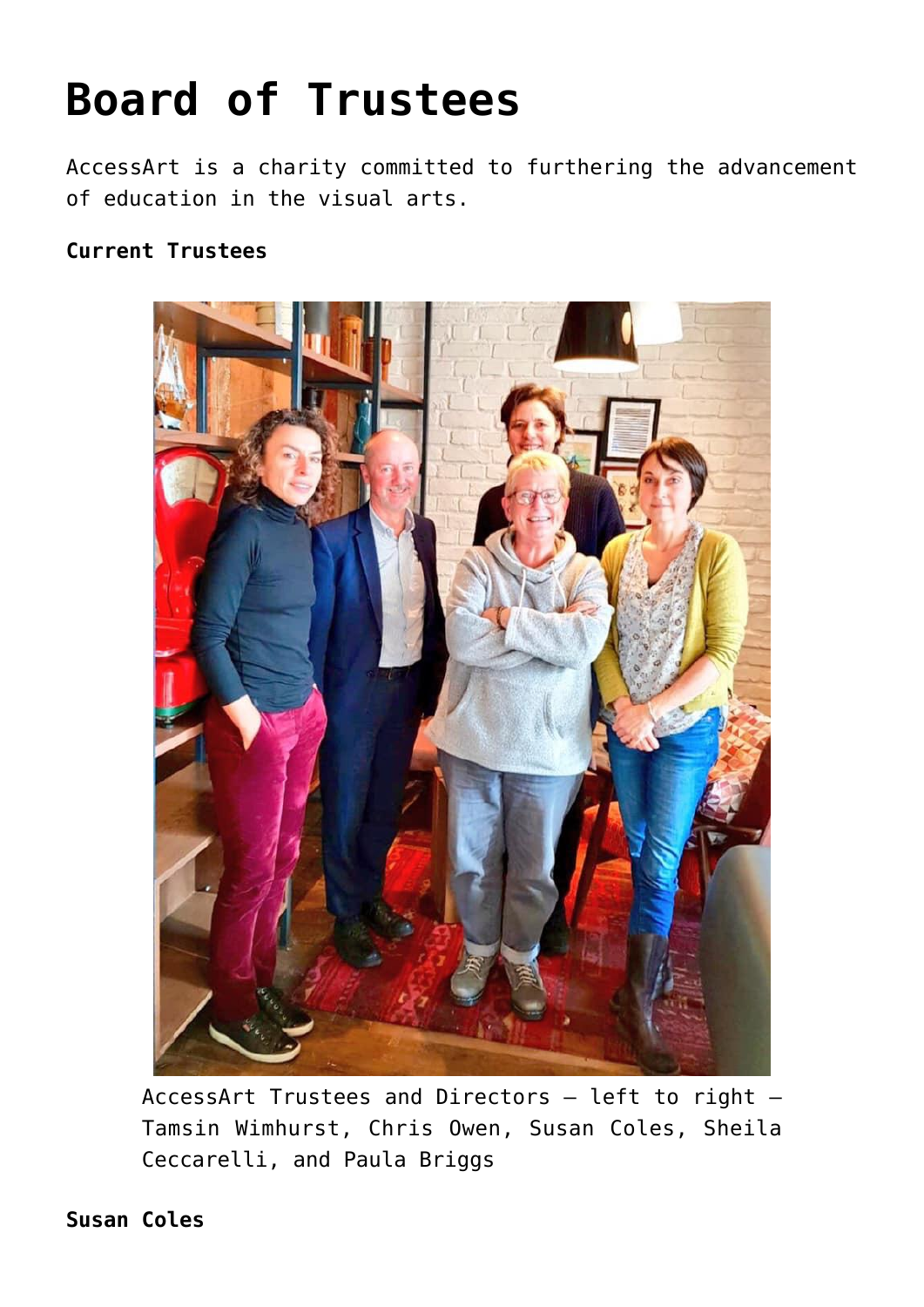## **[Board of Trustees](https://www.accessart.org.uk/inspirational-visual-arts-resources/board-of-trustees/)**

AccessArt is a charity committed to furthering the advancement of education in the visual arts.

## **Current Trustees**



AccessArt Trustees and Directors – left to right – Tamsin Wimhurst, Chris Owen, Susan Coles, Sheila Ceccarelli, and Paula Briggs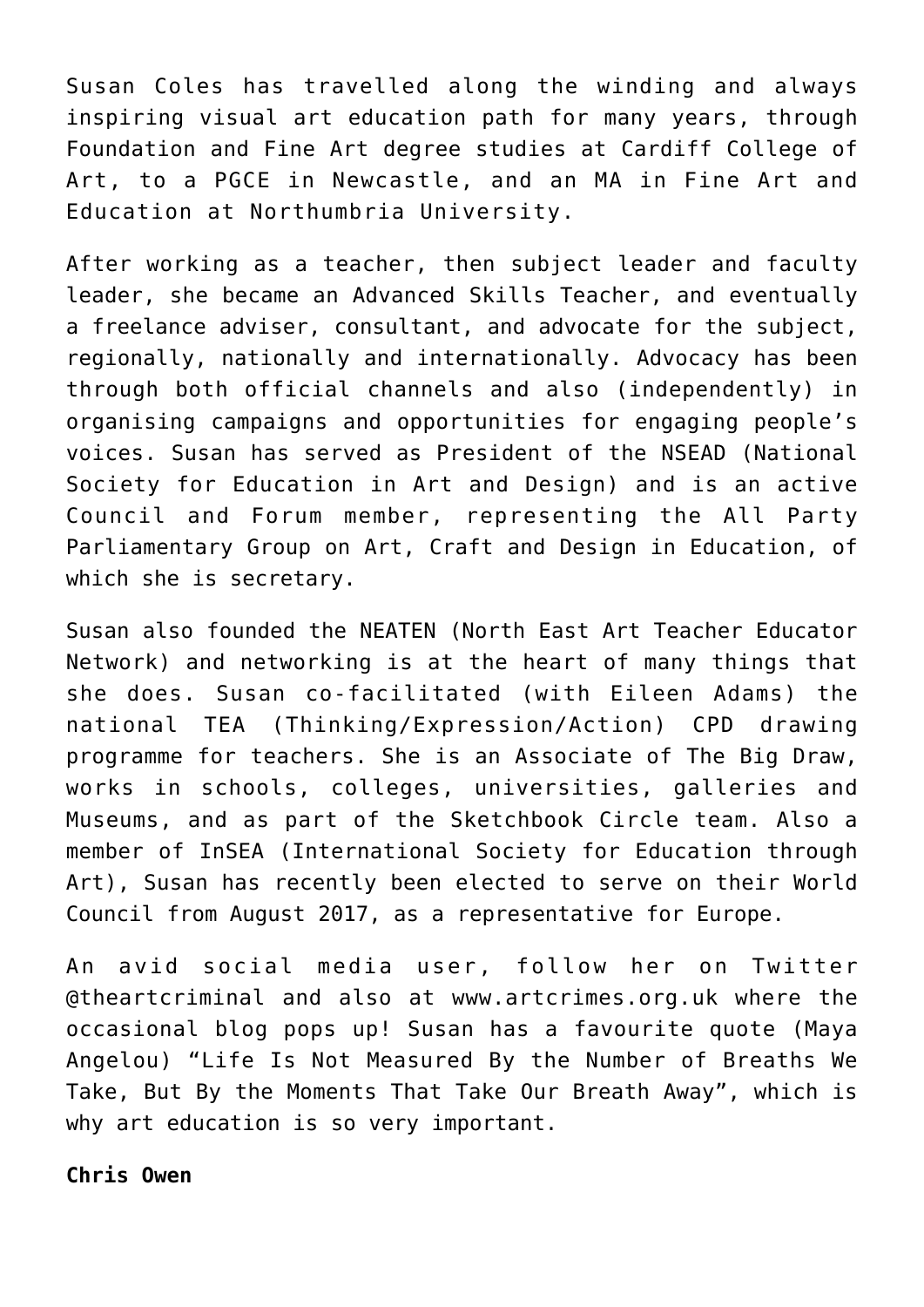Susan Coles has travelled along the winding and always inspiring visual art education path for many years, through Foundation and Fine Art degree studies at Cardiff College of Art, to a PGCE in Newcastle, and an MA in Fine Art and Education at Northumbria University.

After working as a teacher, then subject leader and faculty leader, she became an Advanced Skills Teacher, and eventually a freelance adviser, consultant, and advocate for the subject, regionally, nationally and internationally. Advocacy has been through both official channels and also (independently) in organising campaigns and opportunities for engaging people's voices. Susan has served as President of the NSEAD (National Society for Education in Art and Design) and is an active Council and Forum member, representing the All Party Parliamentary Group on Art, Craft and Design in Education, of which she is secretary.

Susan also founded the NEATEN (North East Art Teacher Educator Network) and networking is at the heart of many things that she does. Susan co-facilitated (with Eileen Adams) the national TEA (Thinking/Expression/Action) CPD drawing programme for teachers. She is an Associate of The Big Draw, works in schools, colleges, universities, galleries and Museums, and as part of the Sketchbook Circle team. Also a member of InSEA (International Society for Education through Art), Susan has recently been elected to serve on their World Council from August 2017, as a representative for Europe.

An avid social media user, follow her on Twitter @theartcriminal and also at [www.artcrimes.org.uk w](http://www.artcrimes.org.uk/)here the occasional blog pops up! Susan has a favourite quote (Maya Angelou) "Life Is Not Measured By the Number of Breaths We Take, But By the Moments That Take Our Breath Away", which is why art education is so very important.

**Chris Owen**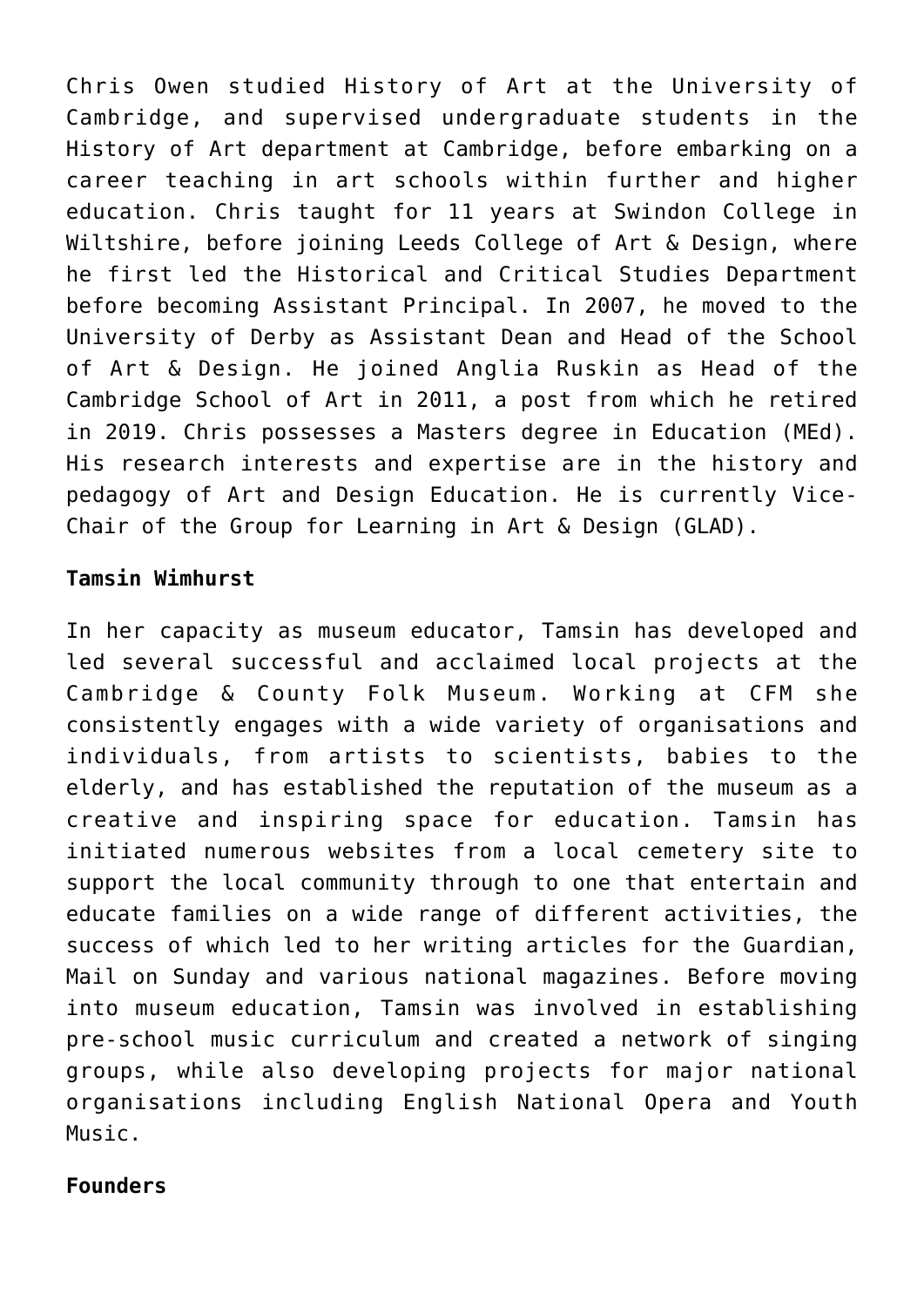Chris Owen studied History of Art at the University of Cambridge, and supervised undergraduate students in the History of Art department at Cambridge, before embarking on a career teaching in art schools within further and higher education. Chris taught for 11 years at Swindon College in Wiltshire, before joining Leeds College of Art & Design, where he first led the Historical and Critical Studies Department before becoming Assistant Principal. In 2007, he moved to the University of Derby as Assistant Dean and Head of the School of Art & Design. He joined Anglia Ruskin as Head of the Cambridge School of Art in 2011, a post from which he retired in 2019. Chris possesses a Masters degree in Education (MEd). His research interests and expertise are in the history and pedagogy of Art and Design Education. He is currently Vice-Chair of the Group for Learning in Art & Design (GLAD).

## **Tamsin Wimhurst**

In her capacity as museum educator, Tamsin has developed and led several successful and acclaimed local projects at the Cambridge & County Folk Museum. Working at CFM she consistently engages with a wide variety of organisations and individuals, from artists to scientists, babies to the elderly, and has established the reputation of the museum as a creative and inspiring space for education. Tamsin has initiated numerous websites from a local cemetery site to support the local community through to one that entertain and educate families on a wide range of different activities, the success of which led to her writing articles for the Guardian, Mail on Sunday and various national magazines. Before moving into museum education, Tamsin was involved in establishing pre-school music curriculum and created a network of singing groups, while also developing projects for major national organisations including English National Opera and Youth Music.

## **Founders**